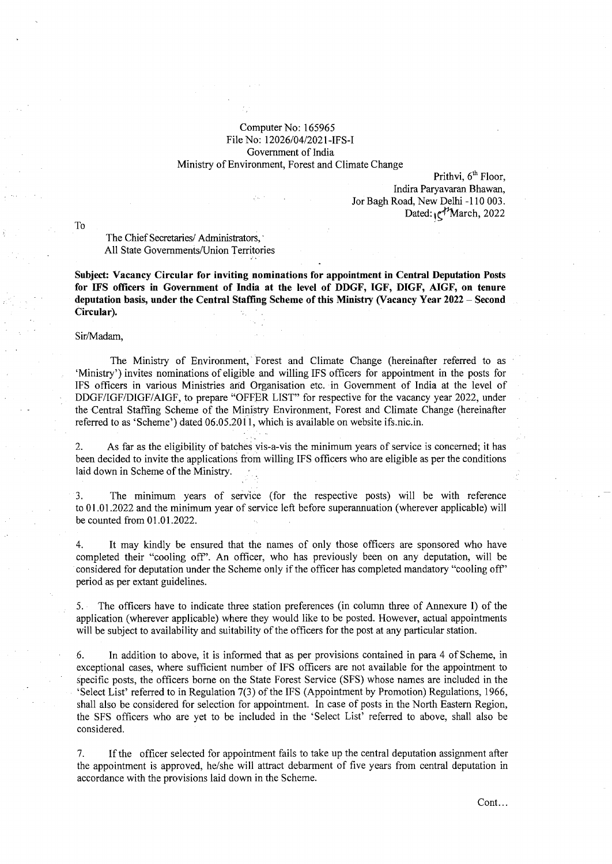### Computer No: 165965 File No: 12026/04/2021-IFS-I Government of India Ministry of Environment, Forest and Climate Change

Prithvi,  $6<sup>th</sup>$  Floor, Indira Paryavaran Bhawan, Jor Bagh Road, New Delhi -110 003. Dated:  $e^{t}$ March, 2022

To

The Chief Secretaries/ Administrators, All State Governments/Union Territories

**Subject: Vacancy Circular for inviting nominations for appointment in Central Deputation Posts for IFS officers in Government of India at the level of DDGF, IGF, DIGF, AIGF, on tenure deputation basis, under the Central Staffmg Scheme of this Ministry (Vacancy Year 2022 - Second Circular).** 

#### Sir/Madam,

The Ministry of Environment, Forest and Climate Change (hereinafter referred to as 'Ministry') invites nominations of eligible and willing IFS officers for appointment in the posts for IFS officers in various Ministries and Organisation etc. in Government of India at the level of DDGF/IGF/DIGF/AIGF, to prepare "OFFER LIST" for respective for the vacancy year 2022, under the Central Staffing Scheme of the Ministry Environment, Forest and Climate Change (hereinafter referred to as 'Scheme') dated 06:05.2011, which is available on website ifs.nic.in.

2. As far as the eligibility of batches vis-a-vis the minimum years of service is concerned; it has been decided to invite the applications from willing IFS officers who are eligible as per the conditions laid down in Scheme of the Ministry.

3. The minimum years of service (for the respective posts) will be with reference to 01.01.2022 and the minimum year of service left before superannuation (wherever applicable) will be counted from 01.01.2022.

It may kindly be ensured that the names of only those officers are sponsored who have completed their "cooling off'. An officer, who has previously been on any deputation, will be considered for deputation under the Scheme only if the officer has completed mandatory "cooling off' period as per extant guidelines.

5. The officers have to indicate three station preferences (in column three of Annexure I) of the application (wherever applicable) where they would like to be posted. However, actual appointments will be subject to availability and suitability of the officers for the post at any particular station.

6. In addition to above, it is informed that as per provisions contained in para 4 of Scheme, in exceptional cases, where sufficient number of IFS officers are not available for the appointment to specific posts, the officers borne on the State Forest Service (SFS) whose names are included in the 'Select List' referred to in Regulation 7(3) of the IFS (Appointment by Promotion) Regulations, 1966, shall also be considered for selection for appointment. In case of posts in the North Eastern Region, the SFS officers who are yet to be included in the 'Select List' referred to above, shall also be considered.

7. If the officer selected for appointment fails to take up the central deputation assignment after the appointment is approved, he/she will attract debarment of five years from central deputation in accordance with the provisions laid down in the Scheme.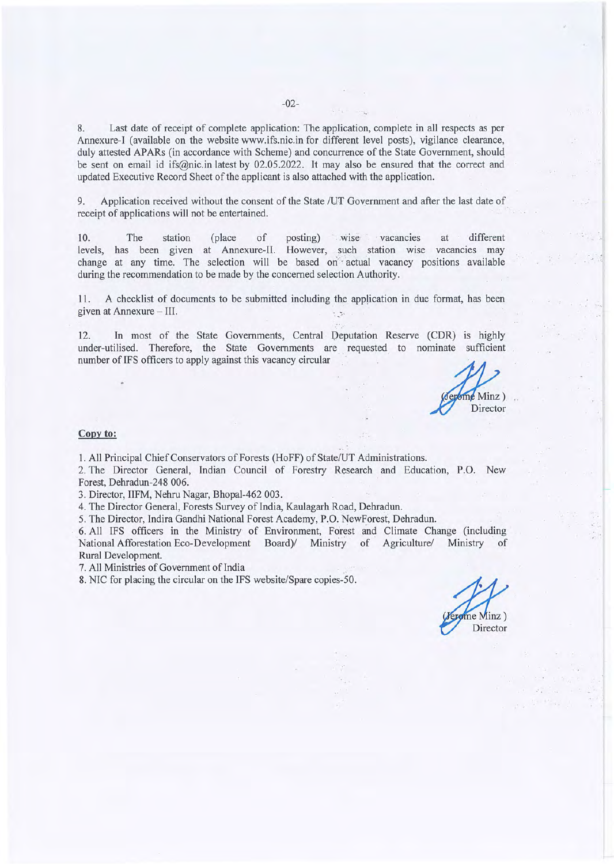8. Last date of receipt of complete application: The application, complete in all respects as per Annexure-1 (available on the website www.ifs.nic.in for different level posts), vigilance clearance, · duly attested APARs (in accordance with Scheme) and concurrence of the State Government, should be sent on email id ifs@nic.in latest by 02.05.2022. It may also be ensured that the correct and updated Executive Record Sheet of the applicant is also attached with the application.

9. Application received without the consent of the State /UT Government and after the last date of receipt of applications will not be entertained.

10. The station (place of posting) wise vacancies at different levels, has been given at Annexure-II. However, such station wise vacancies may change at any time. The selection will be based on actual vacancy positions available during the recommendation to be made by the concerned selection Authority.

11. A checklist of documents to be submitted including the application in due format, has been given at Annexure - III.  $\cdot$ 

12. In most of the State Governments, Central Deputation Reserve (CDR) is highly under-utilised. Therefore, the State Governments are requested to nominate sufficient number of IFS officers to apply against this vacancy circular

 $\sum$  Minz  $)$ Director

### **Copy to:**

1. All Principal Chief Conservators of Forests (HoFF) of State/UT Administrations.

2. The Director General, Indian Council of Forestry Research and Education, P.O. New Forest, Dehradun-248 006.

3. Director, IIFM, Nehru Nagar, Bhopal-462 003.

4. The Director General, Forests Survey of India, Kaulagarh Road, Dehradun.

5. The Director, Indira Gandhi National Forest Academy, P.O. NewForest, Dehradun.

6. All IFS officers in the Ministry of Environment, forest and Climate Change (including National Afforestation Eco-Development Board) Ministry of Agriculture/ Ministry of Rural Development.

7. All Ministries of Government of India

8. NIC for placing the circular on the IFS website/Spare copies-50.

 $ne$  Minz  $)$ Director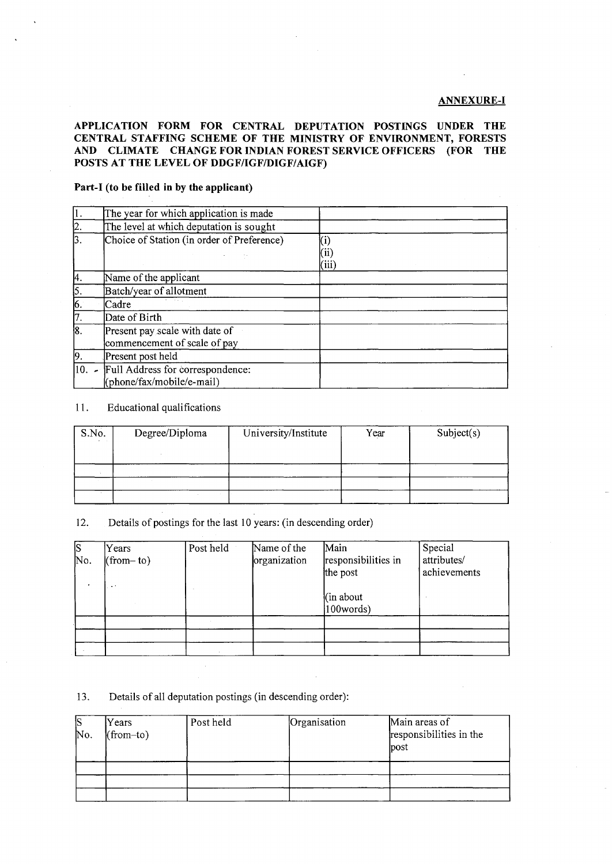### **ANNEXURE-I**

### **APPLICATION FORM FOR CENTRAL DEPUTATION POSTINGS UNDER THE CENTRAL STAFFING SCHEME OF THE MINISTRY OF ENVIRONMENT, FORESTS AND CLIMATE CHANGE FOR INDIAN FOREST SERVICE OFFICERS (FOR THE POSTS AT THE LEVEL OF DDGF/IGF/DIGF/AIGF)**

## **Part-I (to be filled in by the applicant)**

| ļ1.              | The year for which application is made                                    |     |
|------------------|---------------------------------------------------------------------------|-----|
| $\overline{2}$ . | The level at which deputation is sought                                   |     |
| $\overline{3}$ . | Choice of Station (in order of Preference)                                | 111 |
| 4.               | Name of the applicant                                                     |     |
| 5.               | Batch/year of allotment                                                   |     |
| $\sqrt{6}$       | Cadre                                                                     |     |
| 7.               | Date of Birth                                                             |     |
| $\overline{8}$   | Present pay scale with date of<br>commencement of scale of pay            |     |
| 19               | Present post held                                                         |     |
|                  | $\vert 10.$ Full Address for correspondence:<br>(phone/fax/mobile/e-mail) |     |

### 11. Educational qualifications

| S.No. | Degree/Diploma | University/Institute | Year | Subject(s) |  |
|-------|----------------|----------------------|------|------------|--|
|       |                |                      |      |            |  |
|       |                |                      |      |            |  |
|       |                |                      |      |            |  |

12. Details of postings for the last 10 years: (in descending order)

| $\overline{S}$ | Years       | Post held | Name of the  | Main                 | Special      |
|----------------|-------------|-----------|--------------|----------------------|--------------|
| No.            | $(from-to)$ |           | organization | responsibilities in  | attributes/  |
|                |             |           |              | the post             | achievements |
|                | <b>A</b> 1  |           |              |                      |              |
|                |             |           |              | $(\text{in about})$  |              |
|                |             |           |              | $ 100 \text{words} $ |              |
|                |             |           |              |                      |              |
|                |             |           |              |                      |              |
|                |             |           |              |                      |              |

### 13. Details of all deputation postings (in descending order):

| <b>S</b><br>No. | Years<br>$(from-to)$ | Post held | Organisation | Main areas of<br>responsibilities in the<br>post |
|-----------------|----------------------|-----------|--------------|--------------------------------------------------|
|                 |                      |           |              |                                                  |
|                 |                      |           |              |                                                  |
|                 |                      |           |              |                                                  |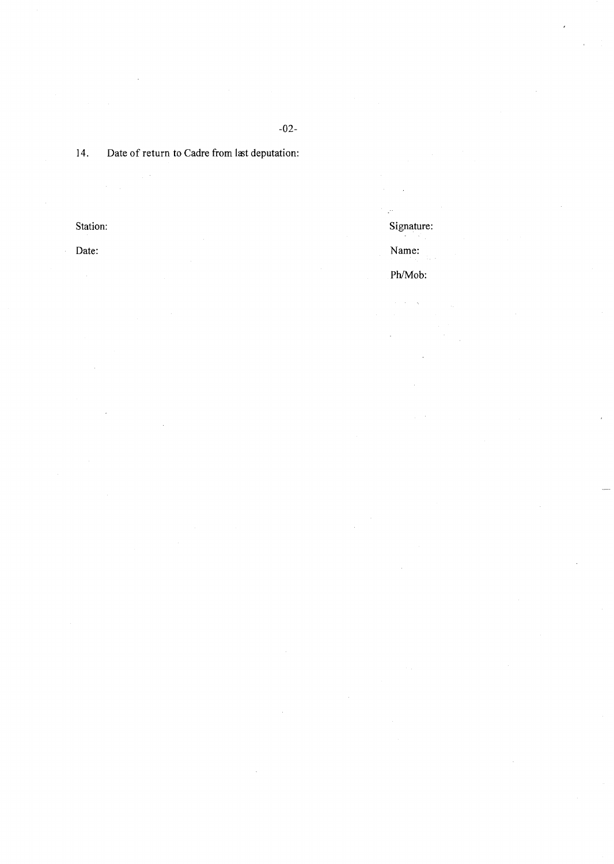# 14. Date of return to Cadre from last deputation:

Date: Name:

 $\hat{\boldsymbol{\epsilon}}$ 

Station: Signature: Signature: Signature: Signature: Signature: Signature: Signature: Signature: Signature: Signature: Signature: Signature: Signature: Signature: Signature: Signature: Signature: Signature: Signature: Sign

ý.

Ph/Mob: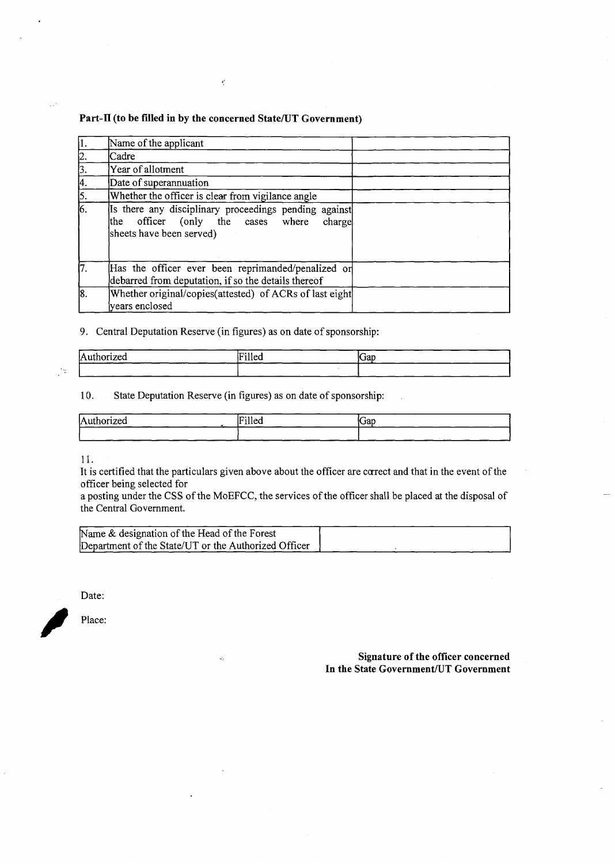### **Part-II (to be filled in by the concerned State/UT Government)**

 $\epsilon_{\rm i}$ 

| $\vert$ 1.       | Name of the applicant                                                                                                                  |
|------------------|----------------------------------------------------------------------------------------------------------------------------------------|
| 2.               | Cadre                                                                                                                                  |
| 3.               | Year of allotment                                                                                                                      |
| 4.               | Date of superannuation                                                                                                                 |
| 5.               | Whether the officer is clear from vigilance angle                                                                                      |
| $\overline{6}$   | Is there any disciplinary proceedings pending against<br>officer (only the cases where<br>charge<br>lthe I<br>sheets have been served) |
| 17.              | Has the officer ever been reprimanded/penalized or<br>debarred from deputation, if so the details thereof                              |
| $\overline{8}$ . | Whether original/copies(attested) of ACRs of last eight<br>years enclosed                                                              |

## 9. Central Deputation Reserve (in figures) as on date of sponsorship:

| Authorized | ۱۳٦۰٬۱۱<br>ir illeg | <b>Cap</b> |
|------------|---------------------|------------|
|            |                     |            |

## 10. State Deputation Reserve (in figures) as on date of sponsorship:

 $\mathcal{L}$ 

 $\overline{a}$ 

| lΑ<br>$   -$<br>יש<br> | m<br>THEO. | <b>Cap</b> |
|------------------------|------------|------------|
|                        |            |            |

11.

It is certified that the particulars given above about the officer are ccrrect and that in the event of the officer being selected for

a posting under the CSS of the MoEFCC, the services of the officer shall be placed at the disposal of the Central Government.

| Name & designation of the Head of the Forest         |  |  |  |
|------------------------------------------------------|--|--|--|
| Department of the State/UT or the Authorized Officer |  |  |  |

Date:

 $\blacksquare$ 

**Signature of the officer concerned In the State Government/UT Government** 

 $\frac{1}{2}$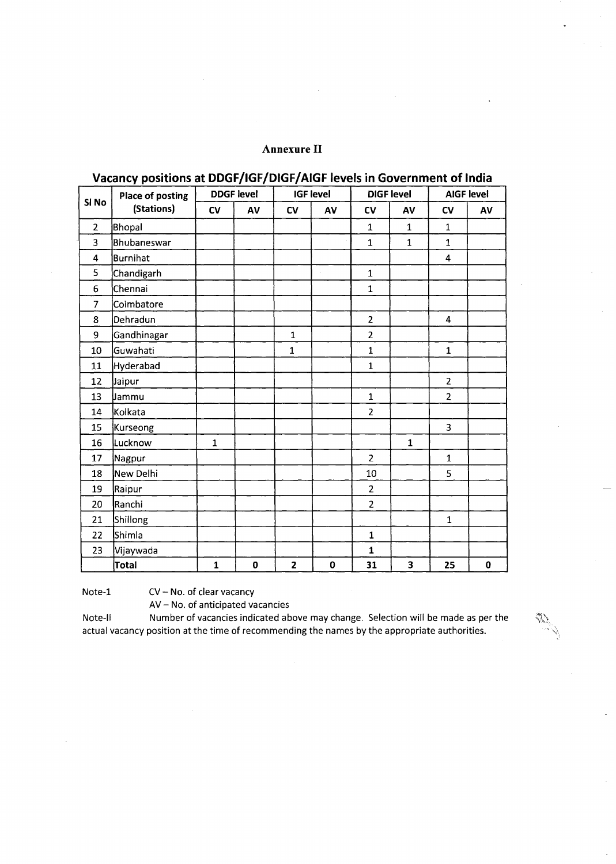# **Annexure** II

|                | <b>Place of posting</b> | <b>DDGF level</b> |             |                         | <b>IGF level</b> |                | <b>DIGF</b> level       | <b>AIGF level</b> |             |
|----------------|-------------------------|-------------------|-------------|-------------------------|------------------|----------------|-------------------------|-------------------|-------------|
| Si No          | (Stations)              | c <sub>V</sub>    | AV          | c <sub>V</sub>          | AV               | <b>CV</b>      | AV                      | CV                | AV          |
| $\overline{2}$ | <b>Bhopal</b>           |                   |             |                         |                  | $\mathbf{1}$   | $\mathbf{1}$            | $\mathbf{1}$      |             |
| 3              | <b>Bhubaneswar</b>      |                   |             |                         |                  | $\mathbf{1}$   | $\mathbf{1}$            | $\mathbf{1}$      |             |
| 4              | Burnihat                |                   |             |                         |                  |                |                         | 4                 |             |
| 5              | Chandigarh              |                   |             |                         |                  | $\mathbf{1}$   |                         |                   |             |
| 6              | Chennai                 |                   |             |                         |                  | $\mathbf{1}$   |                         |                   |             |
| $\overline{7}$ | Coimbatore              |                   |             |                         |                  |                |                         |                   |             |
| 8              | Dehradun                |                   |             |                         |                  | $\overline{2}$ |                         | 4                 |             |
| 9              | Gandhinagar             |                   |             | $\mathbf{1}$            |                  | $\overline{2}$ |                         |                   |             |
| 10             | Guwahati                |                   |             | $\mathbf{1}$            |                  | $\mathbf{1}$   |                         | $\mathbf{1}$      |             |
| 11             | <b>Hyderabad</b>        |                   |             |                         |                  | $\mathbf{1}$   |                         |                   |             |
| 12             | Jaipur                  |                   |             |                         |                  |                |                         | $\overline{2}$    |             |
| 13             | Jammu                   |                   |             |                         |                  | $\mathbf{1}$   |                         | $\overline{2}$    |             |
| 14             | kolkata                 |                   |             |                         |                  | $\overline{2}$ |                         |                   |             |
| 15             | Kurseong                |                   |             |                         |                  |                |                         | 3                 |             |
| 16             | Lucknow                 | $\mathbf{1}$      |             |                         |                  |                | $\mathbf{1}$            |                   |             |
| 17             | Nagpur                  |                   |             |                         |                  | $\overline{2}$ |                         | $\mathbf{1}$      |             |
| 18             | New Delhi               |                   |             |                         |                  | 10             |                         | 5                 |             |
| 19             | Raipur                  |                   |             |                         |                  | $\overline{2}$ |                         |                   |             |
| 20             | Ranchi                  |                   |             |                         |                  | $\overline{2}$ |                         |                   |             |
| 21             | Shillong                |                   |             |                         |                  |                |                         | $\mathbf{1}$      |             |
| 22             | Shimla                  |                   |             |                         |                  | $\mathbf{1}$   |                         |                   |             |
| 23             | Vijaywada               |                   |             |                         |                  | $\mathbf{1}$   |                         |                   |             |
|                | <b>Total</b>            | $\mathbf{1}$      | $\mathbf 0$ | $\overline{\mathbf{2}}$ | $\mathbf 0$      | 31             | $\overline{\mathbf{3}}$ | 25                | $\mathbf 0$ |

# **Vacancy positions at DDGF/IGF/DIGF/ AIGF levels in Government of India**

Note-1 CV - No. of clear vacancy

AV- No. of anticipated vacancies

Note-II Number of vacancies indicated above may change. Selection will be made as per the actual vacancy position at the time of recommending the names by the appropriate authorities.